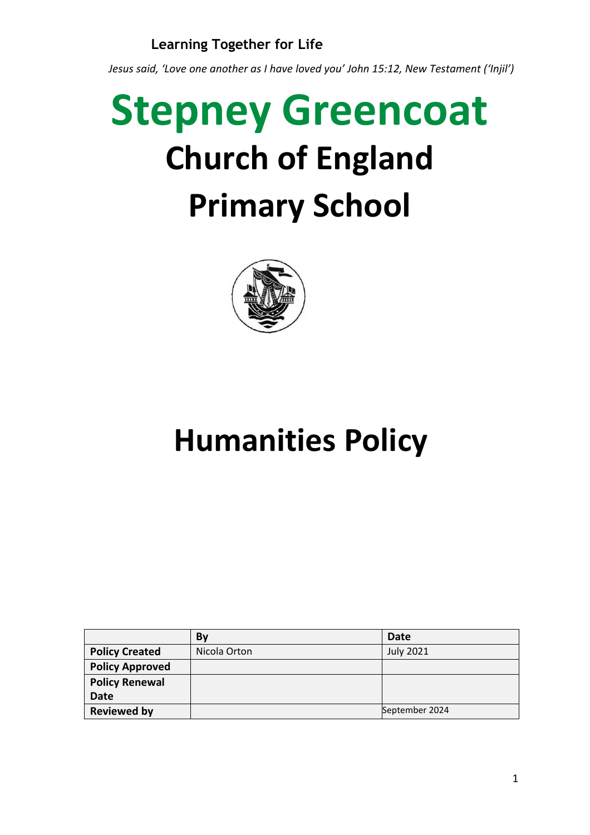*Jesus said, 'Love one another as I have loved you' John 15:12, New Testament ('Injil')*

# **Stepney Greencoat Church of England Primary School**



## **Humanities Policy**

|                        | Bv           | Date             |
|------------------------|--------------|------------------|
| <b>Policy Created</b>  | Nicola Orton | <b>July 2021</b> |
| <b>Policy Approved</b> |              |                  |
| <b>Policy Renewal</b>  |              |                  |
| <b>Date</b>            |              |                  |
| <b>Reviewed by</b>     |              | September 2024   |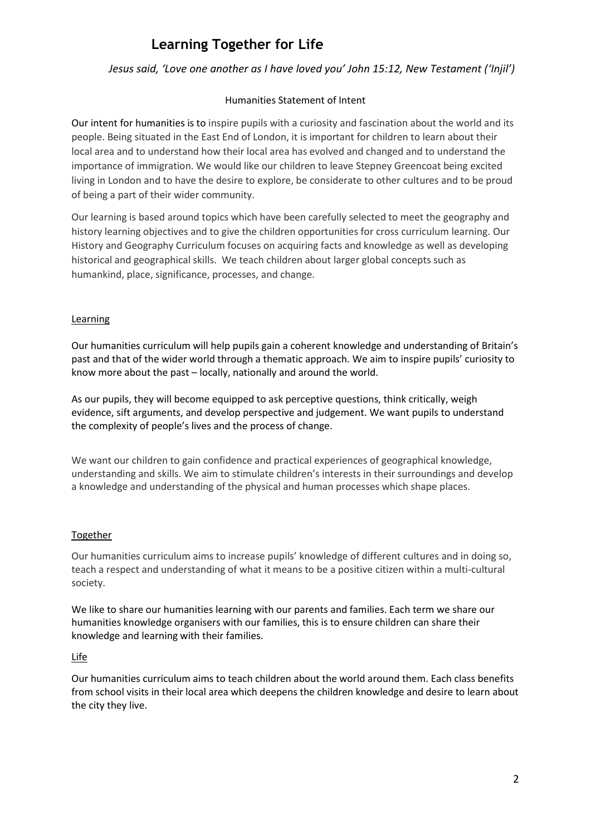#### *Jesus said, 'Love one another as I have loved you' John 15:12, New Testament ('Injil')*

#### Humanities Statement of Intent

Our intent for humanities is to inspire pupils with a curiosity and fascination about the world and its people. Being situated in the East End of London, it is important for children to learn about their local area and to understand how their local area has evolved and changed and to understand the importance of immigration. We would like our children to leave Stepney Greencoat being excited living in London and to have the desire to explore, be considerate to other cultures and to be proud of being a part of their wider community.

Our learning is based around topics which have been carefully selected to meet the geography and history learning objectives and to give the children opportunities for cross curriculum learning. Our History and Geography Curriculum focuses on acquiring facts and knowledge as well as developing historical and geographical skills. We teach children about larger global concepts such as humankind, place, significance, processes, and change.

#### **Learning**

Our humanities curriculum will help pupils gain a coherent knowledge and understanding of Britain's past and that of the wider world through a thematic approach. We aim to inspire pupils' curiosity to know more about the past – locally, nationally and around the world.

As our pupils, they will become equipped to ask perceptive questions, think critically, weigh evidence, sift arguments, and develop perspective and judgement. We want pupils to understand the complexity of people's lives and the process of change.

We want our children to gain confidence and practical experiences of geographical knowledge, understanding and skills. We aim to stimulate children's interests in their surroundings and develop a knowledge and understanding of the physical and human processes which shape places.

#### Together

Our humanities curriculum aims to increase pupils' knowledge of different cultures and in doing so, teach a respect and understanding of what it means to be a positive citizen within a multi-cultural society.

We like to share our humanities learning with our parents and families. Each term we share our humanities knowledge organisers with our families, this is to ensure children can share their knowledge and learning with their families.

#### Life

Our humanities curriculum aims to teach children about the world around them. Each class benefits from school visits in their local area which deepens the children knowledge and desire to learn about the city they live.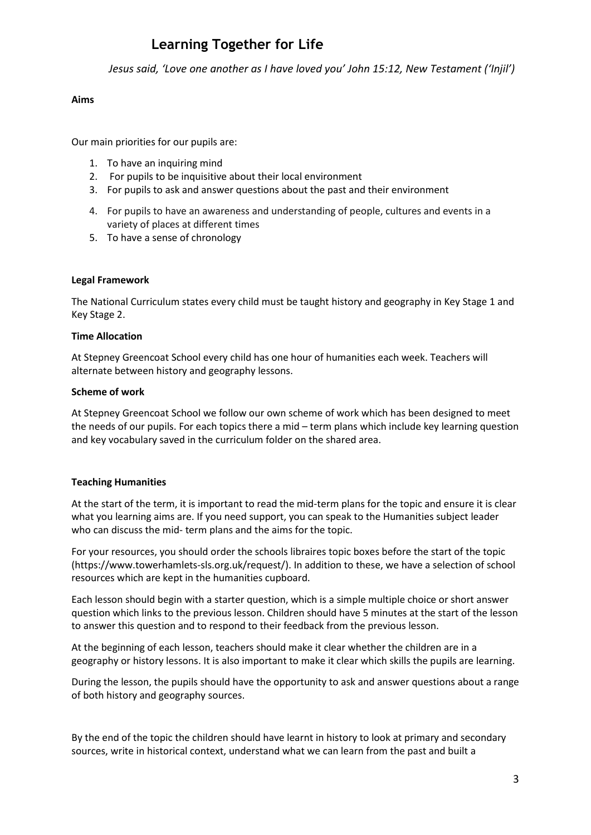*Jesus said, 'Love one another as I have loved you' John 15:12, New Testament ('Injil')*

#### **Aims**

Our main priorities for our pupils are:

- 1. To have an inquiring mind
- 2. For pupils to be inquisitive about their local environment
- 3. For pupils to ask and answer questions about the past and their environment
- 4. For pupils to have an awareness and understanding of people, cultures and events in a variety of places at different times
- 5. To have a sense of chronology

#### **Legal Framework**

The National Curriculum states every child must be taught history and geography in Key Stage 1 and Key Stage 2.

#### **Time Allocation**

At Stepney Greencoat School every child has one hour of humanities each week. Teachers will alternate between history and geography lessons.

#### **Scheme of work**

At Stepney Greencoat School we follow our own scheme of work which has been designed to meet the needs of our pupils. For each topics there a mid – term plans which include key learning question and key vocabulary saved in the curriculum folder on the shared area.

#### **Teaching Humanities**

At the start of the term, it is important to read the mid-term plans for the topic and ensure it is clear what you learning aims are. If you need support, you can speak to the Humanities subject leader who can discuss the mid- term plans and the aims for the topic.

For your resources, you should order the schools libraires topic boxes before the start of the topic (https://www.towerhamlets-sls.org.uk/request/). In addition to these, we have a selection of school resources which are kept in the humanities cupboard.

Each lesson should begin with a starter question, which is a simple multiple choice or short answer question which links to the previous lesson. Children should have 5 minutes at the start of the lesson to answer this question and to respond to their feedback from the previous lesson.

At the beginning of each lesson, teachers should make it clear whether the children are in a geography or history lessons. It is also important to make it clear which skills the pupils are learning.

During the lesson, the pupils should have the opportunity to ask and answer questions about a range of both history and geography sources.

By the end of the topic the children should have learnt in history to look at primary and secondary sources, write in historical context, understand what we can learn from the past and built a